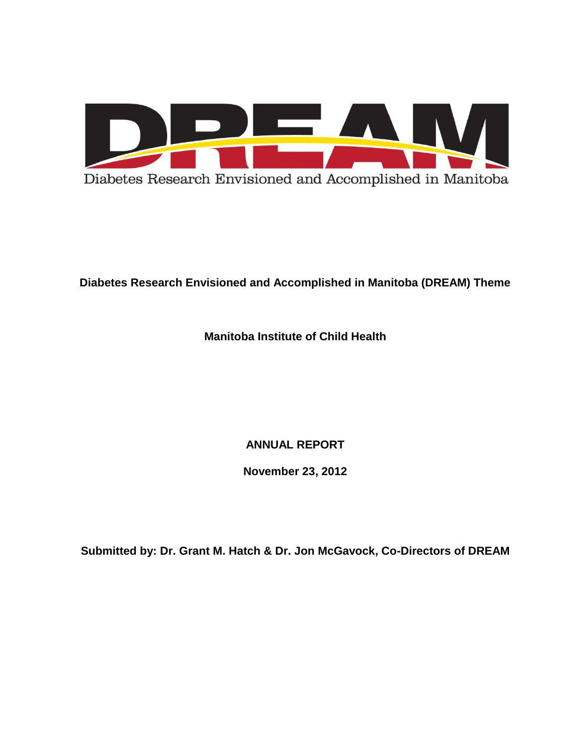

# **Diabetes Research Envisioned and Accomplished in Manitoba (DREAM) Theme**

# **Manitoba Institute of Child Health**

**ANNUAL REPORT**

**November 23, 2012**

**Submitted by: Dr. Grant M. Hatch & Dr. Jon McGavock, Co-Directors of DREAM**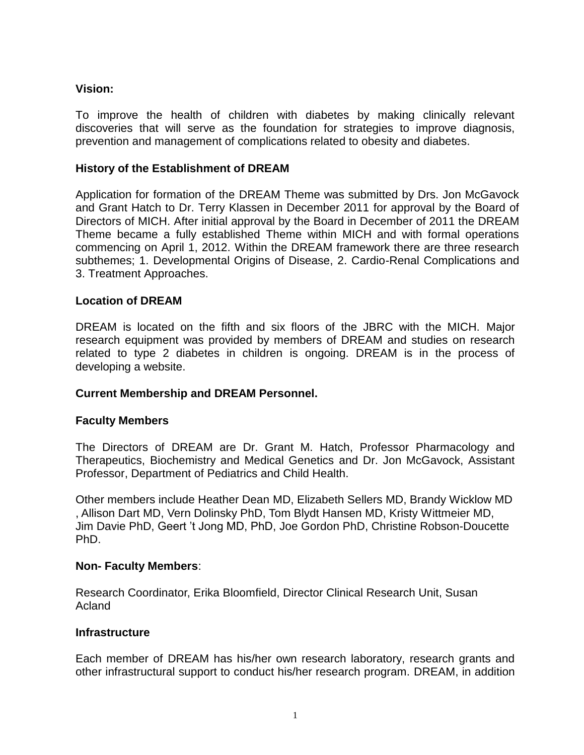## **Vision:**

To improve the health of children with diabetes by making clinically relevant discoveries that will serve as the foundation for strategies to improve diagnosis, prevention and management of complications related to obesity and diabetes.

## **History of the Establishment of DREAM**

Application for formation of the DREAM Theme was submitted by Drs. Jon McGavock and Grant Hatch to Dr. Terry Klassen in December 2011 for approval by the Board of Directors of MICH. After initial approval by the Board in December of 2011 the DREAM Theme became a fully established Theme within MICH and with formal operations commencing on April 1, 2012. Within the DREAM framework there are three research subthemes; 1. Developmental Origins of Disease, 2. Cardio-Renal Complications and 3. Treatment Approaches.

## **Location of DREAM**

DREAM is located on the fifth and six floors of the JBRC with the MICH. Major research equipment was provided by members of DREAM and studies on research related to type 2 diabetes in children is ongoing. DREAM is in the process of developing a website.

## **Current Membership and DREAM Personnel.**

## **Faculty Members**

The Directors of DREAM are Dr. Grant M. Hatch, Professor Pharmacology and Therapeutics, Biochemistry and Medical Genetics and Dr. Jon McGavock, Assistant Professor, Department of Pediatrics and Child Health.

Other members include Heather Dean MD, Elizabeth Sellers MD, Brandy Wicklow MD , Allison Dart MD, Vern Dolinsky PhD, Tom Blydt Hansen MD, Kristy Wittmeier MD, Jim Davie PhD, Geert 't Jong MD, PhD, Joe Gordon PhD, Christine Robson-Doucette PhD.

### **Non- Faculty Members**:

Research Coordinator, Erika Bloomfield, Director Clinical Research Unit, Susan Acland

### **Infrastructure**

Each member of DREAM has his/her own research laboratory, research grants and other infrastructural support to conduct his/her research program. DREAM, in addition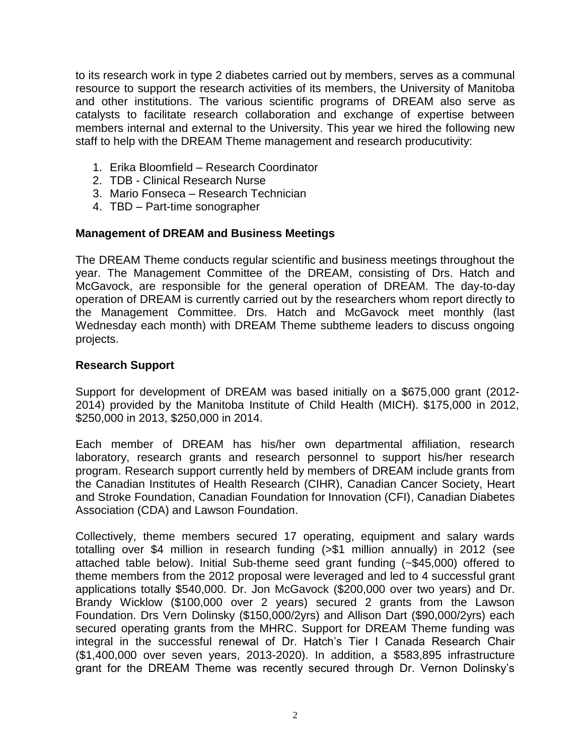to its research work in type 2 diabetes carried out by members, serves as a communal resource to support the research activities of its members, the University of Manitoba and other institutions. The various scientific programs of DREAM also serve as catalysts to facilitate research collaboration and exchange of expertise between members internal and external to the University. This year we hired the following new staff to help with the DREAM Theme management and research producutivity:

- 1. Erika Bloomfield Research Coordinator
- 2. TDB Clinical Research Nurse
- 3. Mario Fonseca Research Technician
- 4. TBD Part-time sonographer

## **Management of DREAM and Business Meetings**

The DREAM Theme conducts regular scientific and business meetings throughout the year. The Management Committee of the DREAM, consisting of Drs. Hatch and McGavock, are responsible for the general operation of DREAM. The day-to-day operation of DREAM is currently carried out by the researchers whom report directly to the Management Committee. Drs. Hatch and McGavock meet monthly (last Wednesday each month) with DREAM Theme subtheme leaders to discuss ongoing projects.

## **Research Support**

Support for development of DREAM was based initially on a \$675,000 grant (2012- 2014) provided by the Manitoba Institute of Child Health (MICH). \$175,000 in 2012, \$250,000 in 2013, \$250,000 in 2014.

Each member of DREAM has his/her own departmental affiliation, research laboratory, research grants and research personnel to support his/her research program. Research support currently held by members of DREAM include grants from the Canadian Institutes of Health Research (CIHR), Canadian Cancer Society, Heart and Stroke Foundation, Canadian Foundation for Innovation (CFI), Canadian Diabetes Association (CDA) and Lawson Foundation.

Collectively, theme members secured 17 operating, equipment and salary wards totalling over \$4 million in research funding (>\$1 million annually) in 2012 (see attached table below). Initial Sub-theme seed grant funding (~\$45,000) offered to theme members from the 2012 proposal were leveraged and led to 4 successful grant applications totally \$540,000. Dr. Jon McGavock (\$200,000 over two years) and Dr. Brandy Wicklow (\$100,000 over 2 years) secured 2 grants from the Lawson Foundation. Drs Vern Dolinsky (\$150,000/2yrs) and Allison Dart (\$90,000/2yrs) each secured operating grants from the MHRC. Support for DREAM Theme funding was integral in the successful renewal of Dr. Hatch's Tier I Canada Research Chair (\$1,400,000 over seven years, 2013-2020). In addition, a \$583,895 infrastructure grant for the DREAM Theme was recently secured through Dr. Vernon Dolinsky's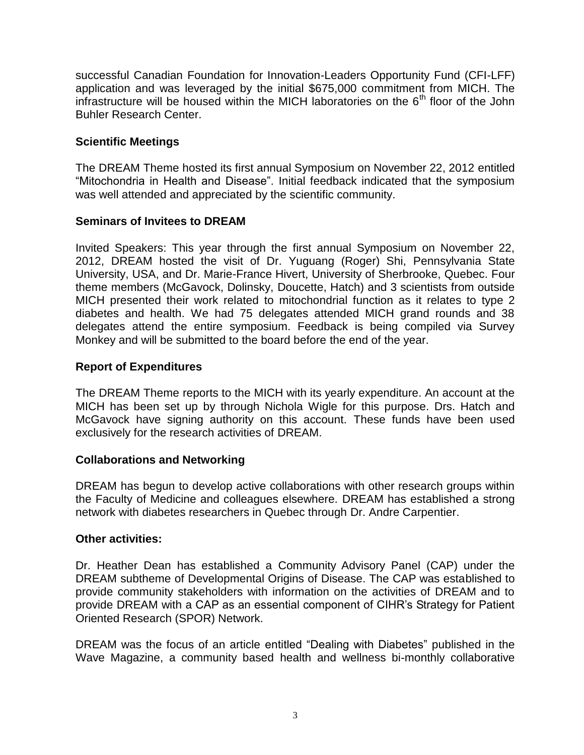successful Canadian Foundation for Innovation-Leaders Opportunity Fund (CFI-LFF) application and was leveraged by the initial \$675,000 commitment from MICH. The  $infrared$  infrastructure will be housed within the MICH laboratories on the  $6<sup>th</sup>$  floor of the John Buhler Research Center.

## **Scientific Meetings**

The DREAM Theme hosted its first annual Symposium on November 22, 2012 entitled "Mitochondria in Health and Disease". Initial feedback indicated that the symposium was well attended and appreciated by the scientific community.

## **Seminars of Invitees to DREAM**

Invited Speakers: This year through the first annual Symposium on November 22, 2012, DREAM hosted the visit of Dr. Yuguang (Roger) Shi, Pennsylvania State University, USA, and Dr. Marie-France Hivert, University of Sherbrooke, Quebec. Four theme members (McGavock, Dolinsky, Doucette, Hatch) and 3 scientists from outside MICH presented their work related to mitochondrial function as it relates to type 2 diabetes and health. We had 75 delegates attended MICH grand rounds and 38 delegates attend the entire symposium. Feedback is being compiled via Survey Monkey and will be submitted to the board before the end of the year.

## **Report of Expenditures**

The DREAM Theme reports to the MICH with its yearly expenditure. An account at the MICH has been set up by through Nichola Wigle for this purpose. Drs. Hatch and McGavock have signing authority on this account. These funds have been used exclusively for the research activities of DREAM.

## **Collaborations and Networking**

DREAM has begun to develop active collaborations with other research groups within the Faculty of Medicine and colleagues elsewhere. DREAM has established a strong network with diabetes researchers in Quebec through Dr. Andre Carpentier.

## **Other activities:**

Dr. Heather Dean has established a Community Advisory Panel (CAP) under the DREAM subtheme of Developmental Origins of Disease. The CAP was established to provide community stakeholders with information on the activities of DREAM and to provide DREAM with a CAP as an essential component of CIHR's Strategy for Patient Oriented Research (SPOR) Network.

DREAM was the focus of an article entitled "Dealing with Diabetes" published in the Wave Magazine, a community based health and wellness bi-monthly collaborative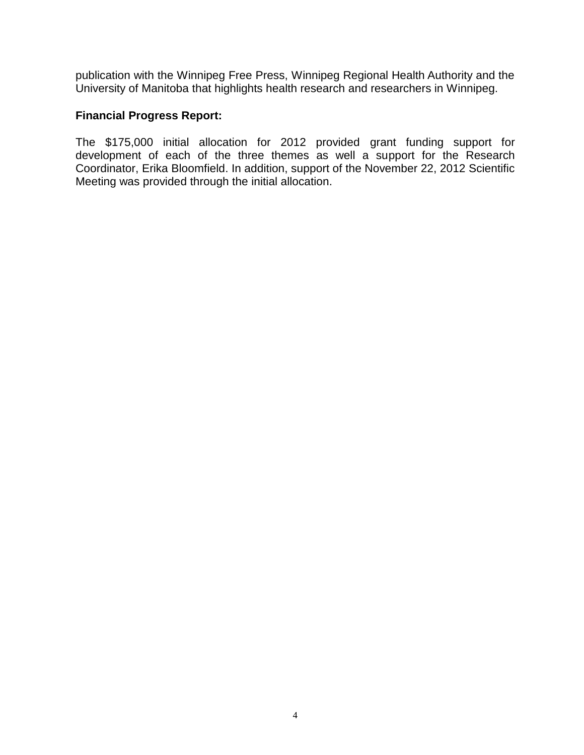publication with the Winnipeg Free Press, Winnipeg Regional Health Authority and the University of Manitoba that highlights health research and researchers in Winnipeg.

## **Financial Progress Report:**

The \$175,000 initial allocation for 2012 provided grant funding support for development of each of the three themes as well a support for the Research Coordinator, Erika Bloomfield. In addition, support of the November 22, 2012 Scientific Meeting was provided through the initial allocation.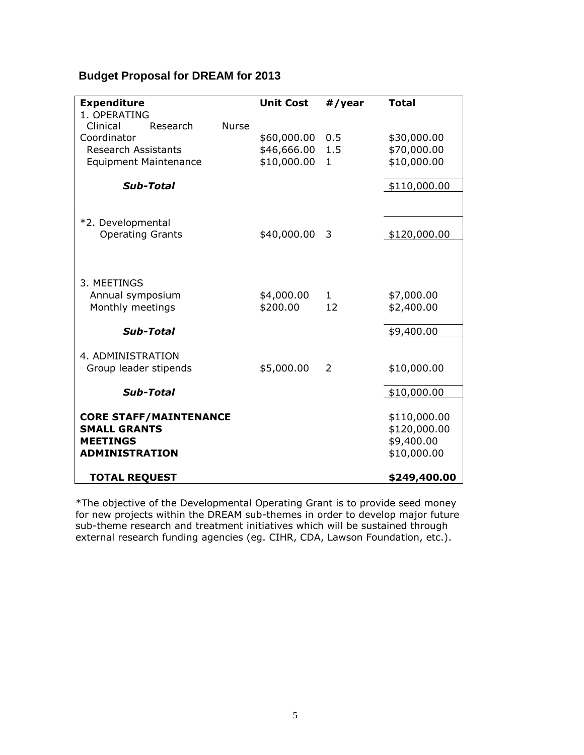# **Budget Proposal for DREAM for 2013**

| <b>Expenditure</b>                       |              | <b>Unit Cost</b> | #/year       | <b>Total</b> |
|------------------------------------------|--------------|------------------|--------------|--------------|
| 1. OPERATING                             |              |                  |              |              |
| Clinical<br>Research<br>Coordinator      | <b>Nurse</b> | \$60,000.00      | 0.5          | \$30,000.00  |
| <b>Research Assistants</b>               |              | \$46,666.00      | 1.5          | \$70,000.00  |
| <b>Equipment Maintenance</b>             |              | \$10,000.00      | $\mathbf{1}$ | \$10,000.00  |
| Sub-Total                                |              |                  |              | \$110,000.00 |
|                                          |              |                  |              |              |
| *2. Developmental                        |              |                  |              |              |
| <b>Operating Grants</b>                  |              | \$40,000.00      | - 3          | \$120,000.00 |
|                                          |              |                  |              |              |
| 3. MEETINGS                              |              |                  |              |              |
| Annual symposium                         |              | \$4,000.00       | $\mathbf{1}$ | \$7,000.00   |
| Monthly meetings                         |              | \$200.00         | 12           | \$2,400.00   |
| <b>Sub-Total</b>                         |              |                  |              | \$9,400.00   |
| 4. ADMINISTRATION                        |              |                  |              |              |
| Group leader stipends                    |              | \$5,000.00       | 2            | \$10,000.00  |
| <b>Sub-Total</b>                         |              |                  |              | \$10,000.00  |
|                                          |              |                  |              |              |
| <b>CORE STAFF/MAINTENANCE</b>            |              |                  |              | \$110,000.00 |
| <b>SMALL GRANTS</b>                      |              |                  |              | \$120,000.00 |
| <b>MEETINGS</b><br><b>ADMINISTRATION</b> |              |                  |              | \$9,400.00   |
|                                          |              |                  |              | \$10,000.00  |
| <b>TOTAL REQUEST</b>                     |              |                  |              | \$249,400.00 |

\*The objective of the Developmental Operating Grant is to provide seed money for new projects within the DREAM sub-themes in order to develop major future sub-theme research and treatment initiatives which will be sustained through external research funding agencies (eg. CIHR, CDA, Lawson Foundation, etc.).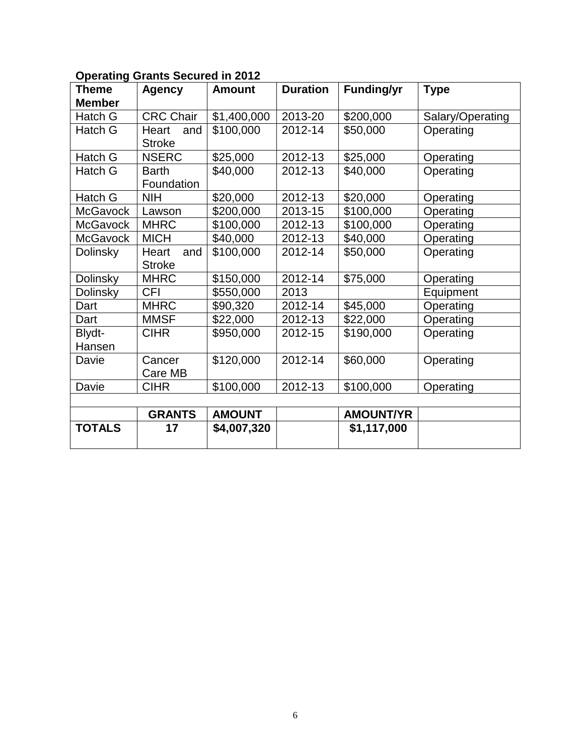# **Operating Grants Secured in 2012**

| <b>Theme</b>     | <b>Agency</b>                 | <b>Amount</b> | <b>Duration</b> | <b>Funding/yr</b> | <b>Type</b>      |
|------------------|-------------------------------|---------------|-----------------|-------------------|------------------|
| <b>Member</b>    |                               |               |                 |                   |                  |
| Hatch G          | <b>CRC Chair</b>              | \$1,400,000   | 2013-20         | \$200,000         | Salary/Operating |
| Hatch G          | Heart<br>and<br><b>Stroke</b> | \$100,000     | 2012-14         | \$50,000          | Operating        |
| Hatch G          | <b>NSERC</b>                  | \$25,000      | 2012-13         | \$25,000          | Operating        |
| Hatch G          | <b>Barth</b><br>Foundation    | \$40,000      | 2012-13         | \$40,000          | Operating        |
| Hatch G          | <b>NIH</b>                    | \$20,000      | 2012-13         | \$20,000          | Operating        |
| <b>McGavock</b>  | Lawson                        | \$200,000     | 2013-15         | \$100,000         | Operating        |
| <b>McGavock</b>  | <b>MHRC</b>                   | \$100,000     | 2012-13         | \$100,000         | Operating        |
| <b>McGavock</b>  | <b>MICH</b>                   | \$40,000      | 2012-13         | \$40,000          | Operating        |
| Dolinsky         | and<br>Heart<br><b>Stroke</b> | \$100,000     | 2012-14         | \$50,000          | Operating        |
| Dolinsky         | <b>MHRC</b>                   | \$150,000     | 2012-14         | \$75,000          | Operating        |
| Dolinsky         | <b>CFI</b>                    | \$550,000     | 2013            |                   | Equipment        |
| Dart             | <b>MHRC</b>                   | \$90,320      | 2012-14         | \$45,000          | Operating        |
| Dart             | <b>MMSF</b>                   | \$22,000      | 2012-13         | \$22,000          | Operating        |
| Blydt-<br>Hansen | <b>CIHR</b>                   | \$950,000     | 2012-15         | \$190,000         | Operating        |
| Davie            | Cancer<br>Care MB             | \$120,000     | 2012-14         | \$60,000          | Operating        |
| Davie            | <b>CIHR</b>                   | \$100,000     | 2012-13         | \$100,000         | Operating        |
|                  |                               |               |                 |                   |                  |
|                  | <b>GRANTS</b>                 | <b>AMOUNT</b> |                 | <b>AMOUNT/YR</b>  |                  |
| <b>TOTALS</b>    | 17                            | \$4,007,320   |                 | \$1,117,000       |                  |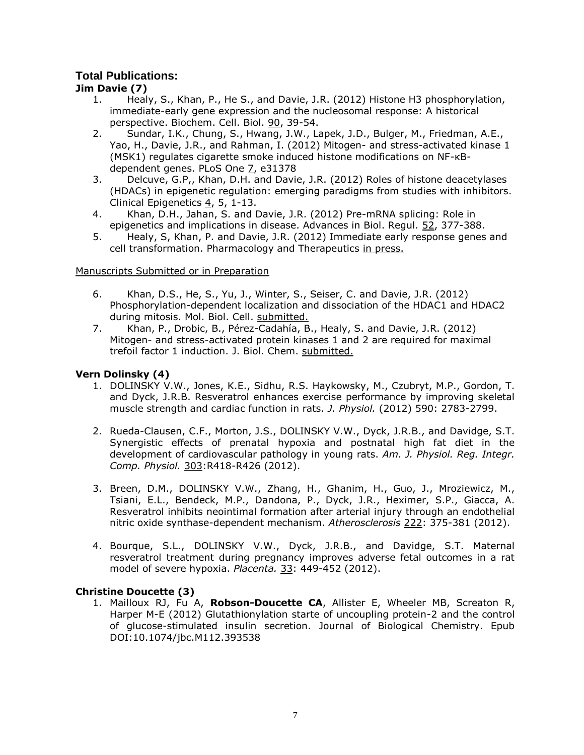# **Total Publications:**

## **Jim Davie (7)**

- 1. Healy, S., Khan, P., He S., and Davie, J.R. (2012) Histone H3 phosphorylation, immediate-early gene expression and the nucleosomal response: A historical perspective. Biochem. Cell. Biol. 90, 39-54.
- 2. Sundar, I.K., Chung, S., Hwang, J.W., Lapek, J.D., Bulger, M., Friedman, A.E., Yao, H., Davie, J.R., and Rahman, I. (2012) Mitogen- and stress-activated kinase 1 (MSK1) regulates cigarette smoke induced histone modifications on NF-κBdependent genes. PLoS One 7, e31378
- 3. Delcuve, G.P,, Khan, D.H. and Davie, J.R. (2012) Roles of histone deacetylases (HDACs) in epigenetic regulation: emerging paradigms from studies with inhibitors. Clinical Epigenetics 4, 5, 1-13.
- 4. Khan, D.H., Jahan, S. and Davie, J.R. (2012) Pre-mRNA splicing: Role in epigenetics and implications in disease. Advances in Biol. Regul. 52, 377-388.
- 5. Healy, S, Khan, P. and Davie, J.R. (2012) Immediate early response genes and cell transformation. Pharmacology and Therapeutics in press.

## Manuscripts Submitted or in Preparation

- 6. Khan, D.S., He, S., Yu, J., Winter, S., Seiser, C. and Davie, J.R. (2012) Phosphorylation-dependent localization and dissociation of the HDAC1 and HDAC2 during mitosis. Mol. Biol. Cell. submitted.
- 7. Khan, P., Drobic, B., Pérez-Cadahía, B., Healy, S. and Davie, J.R. (2012) Mitogen- and stress-activated protein kinases 1 and 2 are required for maximal trefoil factor 1 induction. J. Biol. Chem. submitted.

## **Vern Dolinsky (4)**

- 1. DOLINSKY V.W., Jones, K.E., Sidhu, R.S. Haykowsky, M., Czubryt, M.P., Gordon, T. and Dyck, J.R.B. Resveratrol enhances exercise performance by improving skeletal muscle strength and cardiac function in rats. *J. Physiol.* (2012) 590: 2783-2799.
- 2. Rueda-Clausen, C.F., Morton, J.S., DOLINSKY V.W., Dyck, J.R.B., and Davidge, S.T. Synergistic effects of prenatal hypoxia and postnatal high fat diet in the development of cardiovascular pathology in young rats. *Am. J. Physiol. Reg. Integr. Comp. Physiol.* 303:R418-R426 (2012).
- 3. Breen, D.M., DOLINSKY V.W., Zhang, H., Ghanim, H., Guo, J., Mroziewicz, M., Tsiani, E.L., Bendeck, M.P., Dandona, P., Dyck, J.R., Heximer, S.P., Giacca, A. Resveratrol inhibits neointimal formation after arterial injury through an endothelial nitric oxide synthase-dependent mechanism. *Atherosclerosis* 222: 375-381 (2012).
- 4. Bourque, S.L., DOLINSKY V.W., Dyck, J.R.B., and Davidge, S.T. Maternal resveratrol treatment during pregnancy improves adverse fetal outcomes in a rat model of severe hypoxia. *Placenta.* 33: 449-452 (2012).

### **Christine Doucette (3)**

1. Mailloux RJ, Fu A, **Robson-Doucette CA**, Allister E, Wheeler MB, Screaton R, Harper M-E (2012) Glutathionylation starte of uncoupling protein-2 and the control of glucose-stimulated insulin secretion. Journal of Biological Chemistry. Epub DOI:10.1074/jbc.M112.393538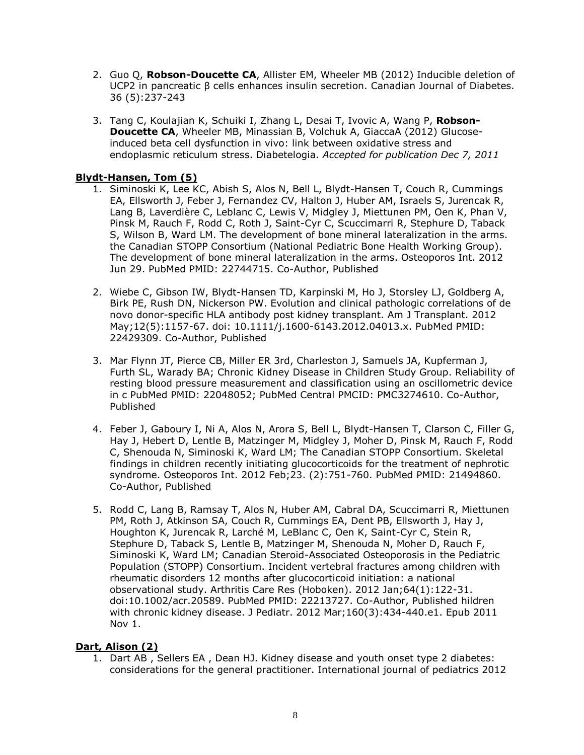- 2. Guo Q, **Robson-Doucette CA**, Allister EM, Wheeler MB (2012) Inducible deletion of UCP2 in pancreatic β cells enhances insulin secretion. Canadian Journal of Diabetes. 36 (5):237-243
- 3. Tang C, Koulajian K, Schuiki I, Zhang L, Desai T, Ivovic A, Wang P, **Robson-Doucette CA**, Wheeler MB, Minassian B, Volchuk A, GiaccaA (2012) Glucoseinduced beta cell dysfunction in vivo: link between oxidative stress and endoplasmic reticulum stress. Diabetelogia. *Accepted for publication Dec 7, 2011*

### **Blydt-Hansen, Tom (5)**

- 1. Siminoski K, Lee KC, Abish S, Alos N, Bell L, Blydt-Hansen T, Couch R, Cummings EA, Ellsworth J, Feber J, Fernandez CV, Halton J, Huber AM, Israels S, Jurencak R, Lang B, Laverdière C, Leblanc C, Lewis V, Midgley J, Miettunen PM, Oen K, Phan V, Pinsk M, Rauch F, Rodd C, Roth J, Saint-Cyr C, Scuccimarri R, Stephure D, Taback S, Wilson B, Ward LM. The development of bone mineral lateralization in the arms. the Canadian STOPP Consortium (National Pediatric Bone Health Working Group). The development of bone mineral lateralization in the arms. Osteoporos Int. 2012 Jun 29. PubMed PMID: 22744715. Co-Author, Published
- 2. Wiebe C, Gibson IW, Blydt-Hansen TD, Karpinski M, Ho J, Storsley LJ, Goldberg A, Birk PE, Rush DN, Nickerson PW. Evolution and clinical pathologic correlations of de novo donor-specific HLA antibody post kidney transplant. Am J Transplant. 2012 May;12(5):1157-67. doi: 10.1111/j.1600-6143.2012.04013.x. PubMed PMID: 22429309. Co-Author, Published
- 3. Mar Flynn JT, Pierce CB, Miller ER 3rd, Charleston J, Samuels JA, Kupferman J, Furth SL, Warady BA; Chronic Kidney Disease in Children Study Group. Reliability of resting blood pressure measurement and classification using an oscillometric device in c PubMed PMID: 22048052; PubMed Central PMCID: PMC3274610. Co-Author, Published
- 4. Feber J, Gaboury I, Ni A, Alos N, Arora S, Bell L, Blydt-Hansen T, Clarson C, Filler G, Hay J, Hebert D, Lentle B, Matzinger M, Midgley J, Moher D, Pinsk M, Rauch F, Rodd C, Shenouda N, Siminoski K, Ward LM; The Canadian STOPP Consortium. Skeletal findings in children recently initiating glucocorticoids for the treatment of nephrotic syndrome. Osteoporos Int. 2012 Feb;23. (2):751-760. PubMed PMID: 21494860. Co-Author, Published
- 5. Rodd C, Lang B, Ramsay T, Alos N, Huber AM, Cabral DA, Scuccimarri R, Miettunen PM, Roth J, Atkinson SA, Couch R, Cummings EA, Dent PB, Ellsworth J, Hay J, Houghton K, Jurencak R, Larché M, LeBlanc C, Oen K, Saint-Cyr C, Stein R, Stephure D, Taback S, Lentle B, Matzinger M, Shenouda N, Moher D, Rauch F, Siminoski K, Ward LM; Canadian Steroid-Associated Osteoporosis in the Pediatric Population (STOPP) Consortium. Incident vertebral fractures among children with rheumatic disorders 12 months after glucocorticoid initiation: a national observational study. Arthritis Care Res (Hoboken). 2012 Jan;64(1):122-31. doi:10.1002/acr.20589. PubMed PMID: 22213727. Co-Author, Published hildren with chronic kidney disease. J Pediatr. 2012 Mar;160(3):434-440.e1. Epub 2011 Nov 1.

#### **Dart, Alison (2)**

1. Dart AB , Sellers EA , Dean HJ. Kidney disease and youth onset type 2 diabetes: considerations for the general practitioner. International journal of pediatrics 2012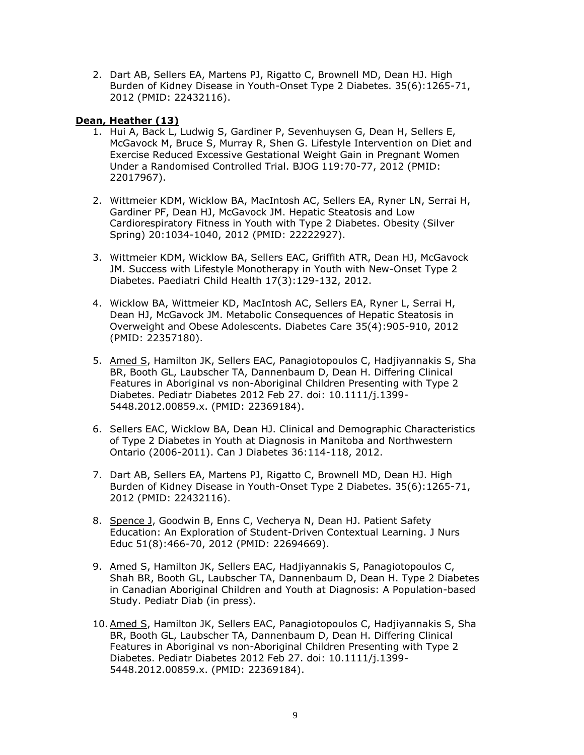2. Dart AB, Sellers EA, Martens PJ, Rigatto C, Brownell MD, Dean HJ. High Burden of Kidney Disease in Youth-Onset Type 2 Diabetes. 35(6):1265-71, 2012 (PMID: 22432116).

### **Dean, Heather (13)**

- 1. Hui A, Back L, Ludwig S, Gardiner P, Sevenhuysen G, Dean H, Sellers E, McGavock M, Bruce S, Murray R, Shen G. Lifestyle Intervention on Diet and Exercise Reduced Excessive Gestational Weight Gain in Pregnant Women Under a Randomised Controlled Trial. BJOG 119:70-77, 2012 (PMID: 22017967).
- 2. Wittmeier KDM, Wicklow BA, MacIntosh AC, Sellers EA, Ryner LN, Serrai H, Gardiner PF, Dean HJ, McGavock JM. Hepatic Steatosis and Low Cardiorespiratory Fitness in Youth with Type 2 Diabetes. Obesity (Silver Spring) 20:1034-1040, 2012 (PMID: 22222927).
- 3. Wittmeier KDM, Wicklow BA, Sellers EAC, Griffith ATR, Dean HJ, McGavock JM. Success with Lifestyle Monotherapy in Youth with New-Onset Type 2 Diabetes. Paediatri Child Health 17(3):129-132, 2012.
- 4. Wicklow BA, Wittmeier KD, MacIntosh AC, Sellers EA, Ryner L, Serrai H, Dean HJ, McGavock JM. Metabolic Consequences of Hepatic Steatosis in Overweight and Obese Adolescents. Diabetes Care 35(4):905-910, 2012 (PMID: 22357180).
- 5. Amed S, Hamilton JK, Sellers EAC, Panagiotopoulos C, Hadjiyannakis S, Sha BR, Booth GL, Laubscher TA, Dannenbaum D, Dean H. Differing Clinical Features in Aboriginal vs non-Aboriginal Children Presenting with Type 2 Diabetes. Pediatr Diabetes 2012 Feb 27. doi: 10.1111/j.1399- 5448.2012.00859.x. (PMID: 22369184).
- 6. Sellers EAC, Wicklow BA, Dean HJ. Clinical and Demographic Characteristics of Type 2 Diabetes in Youth at Diagnosis in Manitoba and Northwestern Ontario (2006-2011). Can J Diabetes 36:114-118, 2012.
- 7. Dart AB, Sellers EA, Martens PJ, Rigatto C, Brownell MD, Dean HJ. High Burden of Kidney Disease in Youth-Onset Type 2 Diabetes. 35(6):1265-71, 2012 (PMID: 22432116).
- 8. Spence J, Goodwin B, Enns C, Vecherya N, Dean HJ. Patient Safety Education: An Exploration of Student-Driven Contextual Learning. J Nurs Educ 51(8):466-70, 2012 (PMID: 22694669).
- 9. Amed S, Hamilton JK, Sellers EAC, Hadjiyannakis S, Panagiotopoulos C, Shah BR, Booth GL, Laubscher TA, Dannenbaum D, Dean H. Type 2 Diabetes in Canadian Aboriginal Children and Youth at Diagnosis: A Population-based Study. Pediatr Diab (in press).
- 10.Amed S, Hamilton JK, Sellers EAC, Panagiotopoulos C, Hadjiyannakis S, Sha BR, Booth GL, Laubscher TA, Dannenbaum D, Dean H. Differing Clinical Features in Aboriginal vs non-Aboriginal Children Presenting with Type 2 Diabetes. Pediatr Diabetes 2012 Feb 27. doi: 10.1111/j.1399- 5448.2012.00859.x. (PMID: 22369184).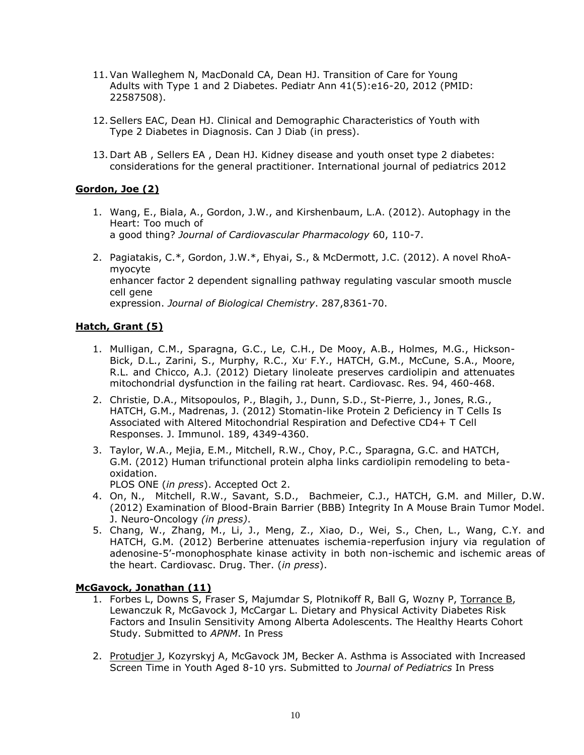- 11.Van Walleghem N, MacDonald CA, Dean HJ. Transition of Care for Young Adults with Type 1 and 2 Diabetes. Pediatr Ann 41(5):e16-20, 2012 (PMID: 22587508).
- 12.Sellers EAC, Dean HJ. Clinical and Demographic Characteristics of Youth with Type 2 Diabetes in Diagnosis. Can J Diab (in press).
- 13. Dart AB , Sellers EA , Dean HJ. Kidney disease and youth onset type 2 diabetes: considerations for the general practitioner. International journal of pediatrics 2012

## **Gordon, Joe (2)**

- 1. Wang, E., Biala, A., Gordon, J.W., and Kirshenbaum, L.A. (2012). Autophagy in the Heart: Too much of a good thing? *Journal of Cardiovascular Pharmacology* 60, 110-7.
- 2. Pagiatakis, C.\*, Gordon, J.W.\*, Ehyai, S., & McDermott, J.C. (2012). A novel RhoAmyocyte enhancer factor 2 dependent signalling pathway regulating vascular smooth muscle cell gene expression. *Journal of Biological Chemistry*. 287,8361-70.

### **Hatch, Grant (5)**

- 1. Mulligan, C.M., Sparagna, G.C., Le, C.H., De Mooy, A.B., Holmes, M.G., Hickson-Bick, D.L., Zarini, S., Murphy, R.C., Xu<sup>,</sup> F.Y., HATCH, G.M., McCune, S.A., Moore, R.L. and Chicco, A.J. (2012) Dietary linoleate preserves cardiolipin and attenuates mitochondrial dysfunction in the failing rat heart. Cardiovasc. Res. 94, 460-468.
- 2. Christie, D.A., Mitsopoulos, P., Blagih, J., Dunn, S.D., St-Pierre, J., Jones, R.G., HATCH, G.M., Madrenas, J. (2012) Stomatin-like Protein 2 Deficiency in T Cells Is Associated with Altered Mitochondrial Respiration and Defective CD4+ T Cell Responses. J. Immunol. 189, 4349-4360.
- 3. Taylor, W.A., Mejia, E.M., Mitchell, R.W., Choy, P.C., Sparagna, G.C. and HATCH, G.M. (2012) Human trifunctional protein alpha links cardiolipin remodeling to betaoxidation.
	- PLOS ONE (*in press*). Accepted Oct 2.
- 4. On, N., Mitchell, R.W., Savant, S.D., Bachmeier, C.J., HATCH, G.M. and Miller, D.W. (2012) Examination of Blood-Brain Barrier (BBB) Integrity In A Mouse Brain Tumor Model. J. Neuro-Oncology *(in press)*.
- 5. Chang, W., Zhang, M., Li, J., Meng, Z., Xiao, D., Wei, S., Chen, L., Wang, C.Y. and HATCH, G.M. (2012) Berberine attenuates ischemia-reperfusion injury via regulation of adenosine-5'-monophosphate kinase activity in both non-ischemic and ischemic areas of the heart. Cardiovasc. Drug. Ther. (*in press*).

### **McGavock, Jonathan (11)**

- 1. Forbes L, Downs S, Fraser S, Majumdar S, Plotnikoff R, Ball G, Wozny P, Torrance B, Lewanczuk R, McGavock J, McCargar L. Dietary and Physical Activity Diabetes Risk Factors and Insulin Sensitivity Among Alberta Adolescents. The Healthy Hearts Cohort Study. Submitted to *APNM*. In Press
- 2. Protudjer J, Kozyrskyj A, McGavock JM, Becker A. Asthma is Associated with Increased Screen Time in Youth Aged 8-10 yrs. Submitted to *Journal of Pediatrics* In Press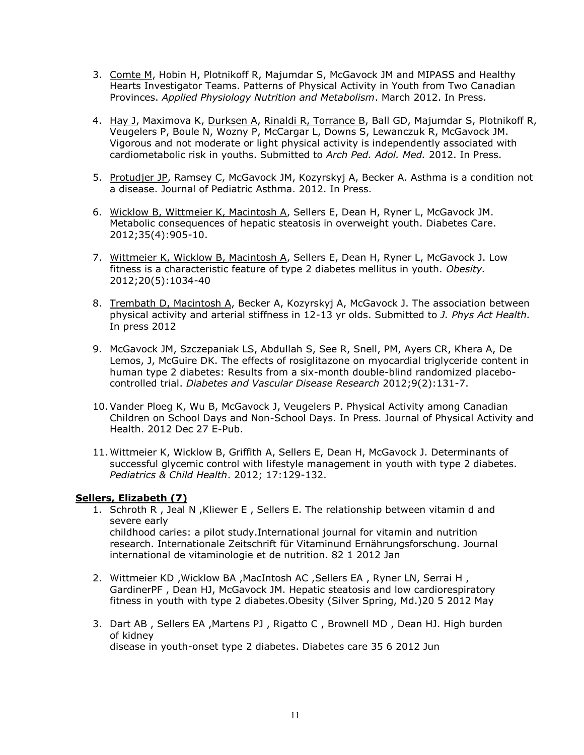- 3. Comte M, Hobin H, Plotnikoff R, Majumdar S, McGavock JM and MIPASS and Healthy Hearts Investigator Teams. Patterns of Physical Activity in Youth from Two Canadian Provinces. *Applied Physiology Nutrition and Metabolism*. March 2012. In Press.
- 4. Hay J, Maximova K, Durksen A, Rinaldi R, Torrance B, Ball GD, Majumdar S, Plotnikoff R, Veugelers P, Boule N, Wozny P, McCargar L, Downs S, Lewanczuk R, McGavock JM. Vigorous and not moderate or light physical activity is independently associated with cardiometabolic risk in youths. Submitted to *Arch Ped. Adol. Med.* 2012. In Press.
- 5. Protudjer JP, Ramsey C, McGavock JM, Kozyrskyj A, Becker A. Asthma is a condition not a disease. Journal of Pediatric Asthma. 2012. In Press.
- 6. Wicklow B, Wittmeier K, Macintosh A, Sellers E, Dean H, Ryner L, McGavock JM. Metabolic consequences of hepatic steatosis in overweight youth. Diabetes Care. 2012;35(4):905-10.
- 7. Wittmeier K, Wicklow B, Macintosh A, Sellers E, Dean H, Ryner L, McGavock J. Low fitness is a characteristic feature of type 2 diabetes mellitus in youth. *Obesity.* 2012;20(5):1034-40
- 8. Trembath D, Macintosh A, Becker A, Kozyrskyj A, McGavock J. The association between physical activity and arterial stiffness in 12-13 yr olds. Submitted to *J. Phys Act Health.* In press 2012
- 9. McGavock JM, Szczepaniak LS, Abdullah S, See R, Snell, PM, Ayers CR, Khera A, De Lemos, J, McGuire DK. The effects of rosiglitazone on myocardial triglyceride content in human type 2 diabetes: Results from a six-month double-blind randomized placebocontrolled trial. *Diabetes and Vascular Disease Research* 2012;9(2):131-7.
- 10.Vander Ploeg K, Wu B, McGavock J, Veugelers P. Physical Activity among Canadian Children on School Days and Non-School Days. In Press. Journal of Physical Activity and Health. 2012 Dec 27 E-Pub.
- 11. Wittmeier K, Wicklow B, Griffith A, Sellers E, Dean H, McGavock J. Determinants of successful glycemic control with lifestyle management in youth with type 2 diabetes. *Pediatrics & Child Health*. 2012; 17:129-132.

### **Sellers, Elizabeth (7)**

- 1. Schroth R , Jeal N ,Kliewer E , Sellers E. The relationship between vitamin d and severe early childhood caries: a pilot study.International journal for vitamin and nutrition research. Internationale Zeitschrift für Vitaminund Ernährungsforschung. Journal international de vitaminologie et de nutrition. 82 1 2012 Jan
- 2. Wittmeier KD ,Wicklow BA ,MacIntosh AC ,Sellers EA , Ryner LN, Serrai H , GardinerPF , Dean HJ, McGavock JM. Hepatic steatosis and low cardiorespiratory fitness in youth with type 2 diabetes.Obesity (Silver Spring, Md.)20 5 2012 May
- 3. Dart AB , Sellers EA ,Martens PJ , Rigatto C , Brownell MD , Dean HJ. High burden of kidney disease in youth-onset type 2 diabetes. Diabetes care 35 6 2012 Jun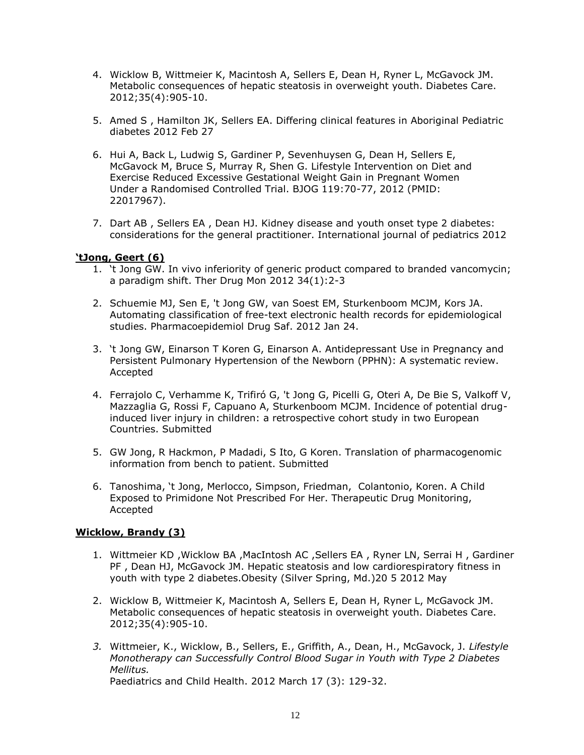- 4. Wicklow B, Wittmeier K, Macintosh A, Sellers E, Dean H, Ryner L, McGavock JM. Metabolic consequences of hepatic steatosis in overweight youth. Diabetes Care. 2012;35(4):905-10.
- 5. Amed S , Hamilton JK, Sellers EA. Differing clinical features in Aboriginal Pediatric diabetes 2012 Feb 27
- 6. Hui A, Back L, Ludwig S, Gardiner P, Sevenhuysen G, Dean H, Sellers E, McGavock M, Bruce S, Murray R, Shen G. Lifestyle Intervention on Diet and Exercise Reduced Excessive Gestational Weight Gain in Pregnant Women Under a Randomised Controlled Trial. BJOG 119:70-77, 2012 (PMID: 22017967).
- 7. Dart AB , Sellers EA , Dean HJ. Kidney disease and youth onset type 2 diabetes: considerations for the general practitioner. International journal of pediatrics 2012

### **'tJong, Geert (6)**

- 1. 't Jong GW. In vivo inferiority of generic product compared to branded vancomycin; a paradigm shift. Ther Drug Mon 2012 34(1):2-3
- 2. Schuemie MJ, Sen E, 't Jong GW, van Soest EM, Sturkenboom MCJM, Kors JA. Automating classification of free-text electronic health records for epidemiological studies. Pharmacoepidemiol Drug Saf. 2012 Jan 24.
- 3. 't Jong GW, Einarson T Koren G, Einarson A. Antidepressant Use in Pregnancy and Persistent Pulmonary Hypertension of the Newborn (PPHN): A systematic review. Accepted
- 4. Ferrajolo C, Verhamme K, Trifiró G, 't Jong G, Picelli G, Oteri A, De Bie S, Valkoff V, Mazzaglia G, Rossi F, Capuano A, Sturkenboom MCJM. Incidence of potential druginduced liver injury in children: a retrospective cohort study in two European Countries. Submitted
- 5. GW Jong, R Hackmon, P Madadi, S Ito, G Koren. Translation of pharmacogenomic information from bench to patient. Submitted
- 6. Tanoshima, 't Jong, Merlocco, Simpson, Friedman, Colantonio, Koren. A Child Exposed to Primidone Not Prescribed For Her. Therapeutic Drug Monitoring, Accepted

#### **Wicklow, Brandy (3)**

- 1. Wittmeier KD ,Wicklow BA ,MacIntosh AC ,Sellers EA , Ryner LN, Serrai H , Gardiner PF , Dean HJ, McGavock JM. Hepatic steatosis and low cardiorespiratory fitness in youth with type 2 diabetes.Obesity (Silver Spring, Md.)20 5 2012 May
- 2. Wicklow B, Wittmeier K, Macintosh A, Sellers E, Dean H, Ryner L, McGavock JM. Metabolic consequences of hepatic steatosis in overweight youth. Diabetes Care. 2012;35(4):905-10.
- *3.* Wittmeier, K., Wicklow, B., Sellers, E., Griffith, A., Dean, H., McGavock, J. *Lifestyle Monotherapy can Successfully Control Blood Sugar in Youth with Type 2 Diabetes Mellitus.* Paediatrics and Child Health. 2012 March 17 (3): 129-32.